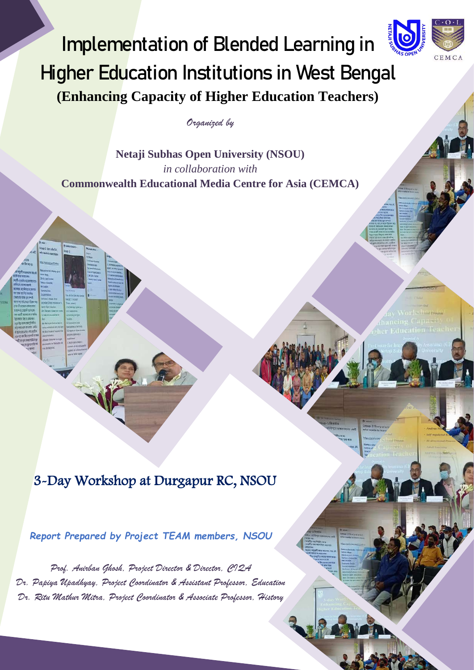

**Netaji Subhas Open University (NSOU)** *in collaboration with* **Commonwealth Educational Media Centre for Asia (CEMCA)** 

# 3-Day Workshop at Durgapur RC, NSOU

*Report Prepared by Project TEAM members, NSOU*

*Prof. Anirban Ghosh, Project Director & Director, CIQA Dr. Papiya Upadhyay, Project Coordinator & Assistant Professor, Education Dr. Ritu Mathur Mitra, Project Coordinator & Associate Professor, History*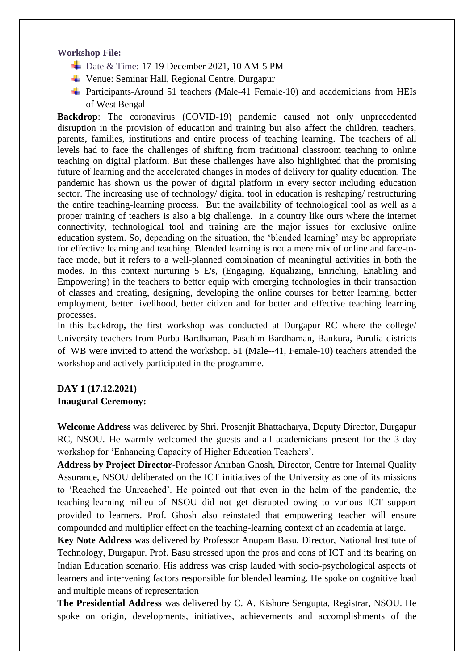#### **Workshop File:**

- $\overline{\phantom{1}}$  Date & Time: 17-19 December 2021, 10 AM-5 PM
- Venue: Seminar Hall, Regional Centre, Durgapur
- $\overline{\text{4}}$  Participants-Around 51 teachers (Male-41 Female-10) and academicians from HEIs of West Bengal

**Backdrop**: The coronavirus (COVID-19) pandemic caused not only unprecedented disruption in the provision of education and training but also affect the children, teachers, parents, families, institutions and entire process of teaching learning. The teachers of all levels had to face the challenges of shifting from traditional classroom teaching to online teaching on digital platform. But these challenges have also highlighted that the promising future of learning and the accelerated changes in modes of delivery for quality education. The pandemic has shown us the power of digital platform in every sector including education sector. The increasing use of technology/ digital tool in education is reshaping/ restructuring the entire teaching-learning process. But the availability of technological tool as well as a proper training of teachers is also a big challenge. In a country like ours where the internet connectivity, technological tool and training are the major issues for exclusive online education system. So, depending on the situation, the 'blended learning' may be appropriate for effective learning and teaching. Blended learning is not a mere mix of online and face-toface mode, but it refers to a well-planned combination of meaningful activities in both the modes. In this context nurturing 5 E's, (Engaging, Equalizing, Enriching, Enabling and Empowering) in the teachers to better equip with emerging technologies in their transaction of classes and creating, designing, developing the online courses for better learning, better employment, better livelihood, better citizen and for better and effective teaching learning processes.

In this backdrop**,** the first workshop was conducted at Durgapur RC where the college/ University teachers from Purba Bardhaman, Paschim Bardhaman, Bankura, Purulia districts of WB were invited to attend the workshop. 51 (Male--41, Female-10) teachers attended the workshop and actively participated in the programme.

#### **DAY 1 (17.12.2021) Inaugural Ceremony:**

**Welcome Address** was delivered by Shri. Prosenjit Bhattacharya, Deputy Director, Durgapur RC, NSOU. He warmly welcomed the guests and all academicians present for the 3-day workshop for 'Enhancing Capacity of Higher Education Teachers'.

**Address by Project Director**-Professor Anirban Ghosh, Director, Centre for Internal Quality Assurance, NSOU deliberated on the ICT initiatives of the University as one of its missions to 'Reached the Unreached'. He pointed out that even in the helm of the pandemic, the teaching-learning milieu of NSOU did not get disrupted owing to various ICT support provided to learners. Prof. Ghosh also reinstated that empowering teacher will ensure compounded and multiplier effect on the teaching-learning context of an academia at large.

**Key Note Address** was delivered by Professor Anupam Basu, Director, National Institute of Technology, Durgapur. Prof. Basu stressed upon the pros and cons of ICT and its bearing on Indian Education scenario. His address was crisp lauded with socio-psychological aspects of learners and intervening factors responsible for blended learning. He spoke on cognitive load and multiple means of representation

**The Presidential Address** was delivered by C. A. Kishore Sengupta, Registrar, NSOU. He spoke on origin, developments, initiatives, achievements and accomplishments of the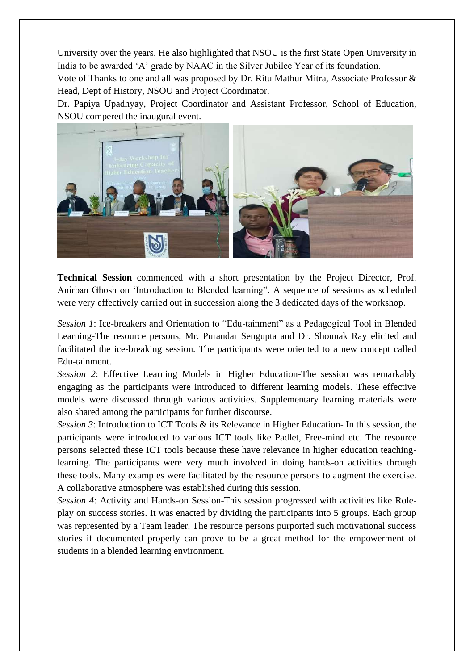University over the years. He also highlighted that NSOU is the first State Open University in India to be awarded 'A' grade by NAAC in the Silver Jubilee Year of its foundation.

Vote of Thanks to one and all was proposed by Dr. Ritu Mathur Mitra, Associate Professor & Head, Dept of History, NSOU and Project Coordinator.

Dr. Papiya Upadhyay, Project Coordinator and Assistant Professor, School of Education, NSOU compered the inaugural event.



**Technical Session** commenced with a short presentation by the Project Director, Prof. Anirban Ghosh on 'Introduction to Blended learning". A sequence of sessions as scheduled were very effectively carried out in succession along the 3 dedicated days of the workshop.

*Session 1*: Ice-breakers and Orientation to "Edu-tainment" as a Pedagogical Tool in Blended Learning-The resource persons, Mr. Purandar Sengupta and Dr. Shounak Ray elicited and facilitated the ice-breaking session. The participants were oriented to a new concept called Edu-tainment.

*Session 2*: Effective Learning Models in Higher Education-The session was remarkably engaging as the participants were introduced to different learning models. These effective models were discussed through various activities. Supplementary learning materials were also shared among the participants for further discourse.

*Session 3*: Introduction to ICT Tools & its Relevance in Higher Education- In this session, the participants were introduced to various ICT tools like Padlet, Free-mind etc. The resource persons selected these ICT tools because these have relevance in higher education teachinglearning. The participants were very much involved in doing hands-on activities through these tools. Many examples were facilitated by the resource persons to augment the exercise. A collaborative atmosphere was established during this session.

*Session 4*: Activity and Hands-on Session-This session progressed with activities like Roleplay on success stories. It was enacted by dividing the participants into 5 groups. Each group was represented by a Team leader. The resource persons purported such motivational success stories if documented properly can prove to be a great method for the empowerment of students in a blended learning environment.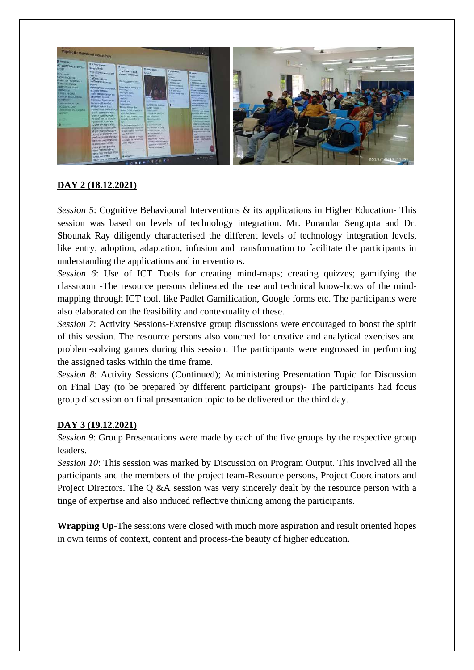

#### **DAY 2 (18.12.2021)**

*Session 5*: Cognitive Behavioural Interventions & its applications in Higher Education- This session was based on levels of technology integration. Mr. Purandar Sengupta and Dr. Shounak Ray diligently characterised the different levels of technology integration levels, like entry, adoption, adaptation, infusion and transformation to facilitate the participants in understanding the applications and interventions.

*Session 6*: Use of ICT Tools for creating mind-maps; creating quizzes; gamifying the classroom -The resource persons delineated the use and technical know-hows of the mindmapping through ICT tool, like Padlet Gamification, Google forms etc. The participants were also elaborated on the feasibility and contextuality of these.

*Session 7*: Activity Sessions-Extensive group discussions were encouraged to boost the spirit of this session. The resource persons also vouched for creative and analytical exercises and problem-solving games during this session. The participants were engrossed in performing the assigned tasks within the time frame.

*Session 8*: Activity Sessions (Continued); Administering Presentation Topic for Discussion on Final Day (to be prepared by different participant groups)- The participants had focus group discussion on final presentation topic to be delivered on the third day.

#### **DAY 3 (19.12.2021)**

*Session 9*: Group Presentations were made by each of the five groups by the respective group leaders.

*Session 10*: This session was marked by Discussion on Program Output. This involved all the participants and the members of the project team-Resource persons, Project Coordinators and Project Directors. The Q &A session was very sincerely dealt by the resource person with a tinge of expertise and also induced reflective thinking among the participants.

**Wrapping Up**-The sessions were closed with much more aspiration and result oriented hopes in own terms of context, content and process-the beauty of higher education.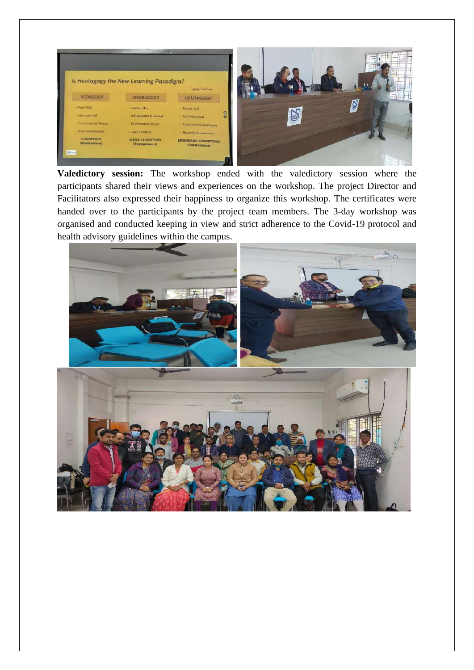

**Valedictory session:** The workshop ended with the valedictory session where the participants shared their views and experiences on the workshop. The project Director and Facilitators also expressed their happiness to organize this workshop. The certificates were handed over to the participants by the project team members. The 3-day workshop was organised and conducted keeping in view and strict adherence to the Covid-19 protocol and health advisory guidelines within the campus.

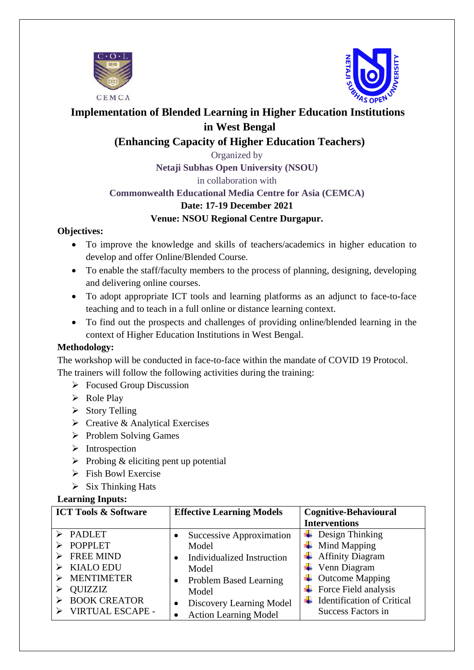



# **Implementation of Blended Learning in Higher Education Institutions in West Bengal**

## **(Enhancing Capacity of Higher Education Teachers)**

Organized by **Netaji Subhas Open University (NSOU)**

in collaboration with

## **Commonwealth Educational Media Centre for Asia (CEMCA)**

#### **Date: 17-19 December 2021**

#### **Venue: NSOU Regional Centre Durgapur.**

#### **Objectives:**

- To improve the knowledge and skills of teachers/academics in higher education to develop and offer Online/Blended Course.
- To enable the staff/faculty members to the process of planning, designing, developing and delivering online courses.
- To adopt appropriate ICT tools and learning platforms as an adjunct to face-to-face teaching and to teach in a full online or distance learning context.
- To find out the prospects and challenges of providing online/blended learning in the context of Higher Education Institutions in West Bengal.

### **Methodology:**

The workshop will be conducted in face-to-face within the mandate of COVID 19 Protocol. The trainers will follow the following activities during the training:

- ➢ Focused Group Discussion
- ➢ Role Play
- ➢ Story Telling
- $\triangleright$  Creative & Analytical Exercises
- ➢ Problem Solving Games
- ➢ Introspection
- $\triangleright$  Probing & eliciting pent up potential
- ➢ Fish Bowl Exercise
- $\triangleright$  Six Thinking Hats

#### **Learning Inputs:**

| <b>ICT Tools &amp; Software</b> | <b>Effective Learning Models</b>      | <b>Cognitive-Behavioural</b>      |  |
|---------------------------------|---------------------------------------|-----------------------------------|--|
|                                 |                                       | <b>Interventions</b>              |  |
| <b>PADLET</b>                   | Successive Approximation              | Design Thinking<br>÷              |  |
| <b>POPPLET</b>                  | Model                                 | Mind Mapping<br>÷                 |  |
| <b>FREE MIND</b>                | Individualized Instruction            | <b>Affinity Diagram</b>           |  |
| <b>KIALO EDU</b>                | Model                                 | Venn Diagram                      |  |
| <b>MENTIMETER</b>               | <b>Problem Based Learning</b>         | <b>Outcome Mapping</b>            |  |
| <b>QUIZZIZ</b>                  | Model                                 | Force Field analysis<br>÷         |  |
| <b>BOOK CREATOR</b>             | Discovery Learning Model<br>$\bullet$ | <b>Identification of Critical</b> |  |
| <b>VIRTUAL ESCAPE -</b>         | <b>Action Learning Model</b>          | <b>Success Factors in</b>         |  |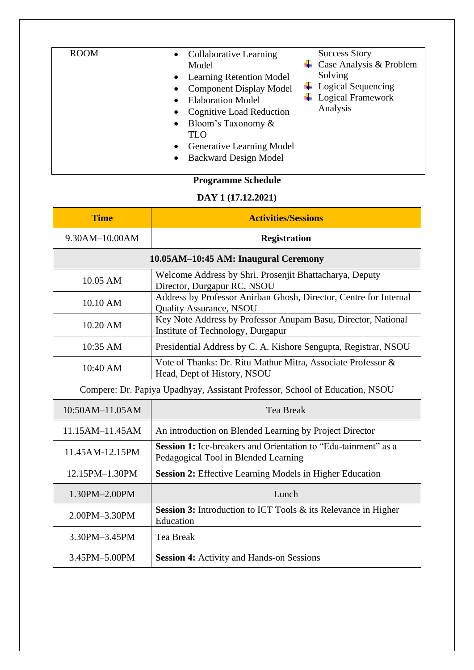## **Programme Schedule**

### **DAY 1 (17.12.2021)**

| <b>Time</b>                                                                                                    | <b>Activities/Sessions</b>                                                                             |  |  |  |  |
|----------------------------------------------------------------------------------------------------------------|--------------------------------------------------------------------------------------------------------|--|--|--|--|
| 9.30AM-10.00AM                                                                                                 | <b>Registration</b>                                                                                    |  |  |  |  |
| 10.05AM-10:45 AM: Inaugural Ceremony                                                                           |                                                                                                        |  |  |  |  |
| 10.05 AM                                                                                                       | Welcome Address by Shri. Prosenjit Bhattacharya, Deputy<br>Director, Durgapur RC, NSOU                 |  |  |  |  |
| 10.10 AM                                                                                                       | Address by Professor Anirban Ghosh, Director, Centre for Internal<br>Quality Assurance, NSOU           |  |  |  |  |
| Key Note Address by Professor Anupam Basu, Director, National<br>10.20 AM<br>Institute of Technology, Durgapur |                                                                                                        |  |  |  |  |
| 10:35 AM                                                                                                       | Presidential Address by C. A. Kishore Sengupta, Registrar, NSOU                                        |  |  |  |  |
| 10:40 AM                                                                                                       | Vote of Thanks: Dr. Ritu Mathur Mitra, Associate Professor &<br>Head, Dept of History, NSOU            |  |  |  |  |
|                                                                                                                | Compere: Dr. Papiya Upadhyay, Assistant Professor, School of Education, NSOU                           |  |  |  |  |
| 10:50AM-11.05AM                                                                                                | <b>Tea Break</b>                                                                                       |  |  |  |  |
| 11.15AM-11.45AM                                                                                                | An introduction on Blended Learning by Project Director                                                |  |  |  |  |
| 11.45AM-12.15PM                                                                                                | Session 1: Ice-breakers and Orientation to "Edu-tainment" as a<br>Pedagogical Tool in Blended Learning |  |  |  |  |
| 12.15PM-1.30PM                                                                                                 | Session 2: Effective Learning Models in Higher Education                                               |  |  |  |  |
| 1.30PM-2.00PM                                                                                                  | Lunch                                                                                                  |  |  |  |  |
| 2.00PM-3.30PM                                                                                                  | <b>Session 3:</b> Introduction to ICT Tools & its Relevance in Higher<br>Education                     |  |  |  |  |
| 3.30PM-3.45PM                                                                                                  | <b>Tea Break</b>                                                                                       |  |  |  |  |
| 3.45PM-5.00PM                                                                                                  | <b>Session 4:</b> Activity and Hands-on Sessions                                                       |  |  |  |  |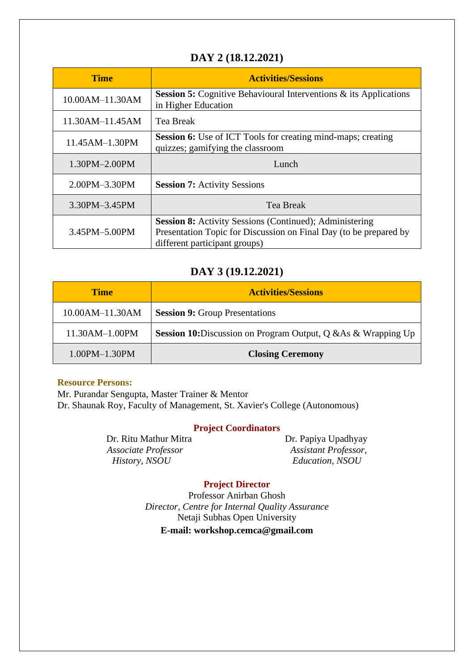## **DAY 2 (18.12.2021)**

| <b>Time</b>          | <b>Activities/Sessions</b>                                                                                                                                           |
|----------------------|----------------------------------------------------------------------------------------------------------------------------------------------------------------------|
| 10.00AM-11.30AM      | <b>Session 5:</b> Cognitive Behavioural Interventions $\&$ its Applications<br>in Higher Education                                                                   |
| 11.30AM-11.45AM      | <b>Tea Break</b>                                                                                                                                                     |
| 11.45AM-1.30PM       | <b>Session 6:</b> Use of ICT Tools for creating mind-maps; creating<br>quizzes; gamifying the classroom                                                              |
| 1.30PM-2.00PM        | Lunch                                                                                                                                                                |
| 2.00PM-3.30PM        | <b>Session 7:</b> Activity Sessions                                                                                                                                  |
| 3.30PM-3.45PM        | Tea Break                                                                                                                                                            |
| $3.45$ PM $-5.00$ PM | <b>Session 8:</b> Activity Sessions (Continued); Administering<br>Presentation Topic for Discussion on Final Day (to be prepared by<br>different participant groups) |

#### **DAY 3 (19.12.2021)**

| <b>Time</b>          | <b>Activities/Sessions</b>                                            |  |  |  |
|----------------------|-----------------------------------------------------------------------|--|--|--|
| 10.00AM-11.30AM      | <b>Session 9:</b> Group Presentations                                 |  |  |  |
| 11.30AM-1.00PM       | <b>Session 10:</b> Discussion on Program Output, Q & As & Wrapping Up |  |  |  |
| $1.00$ PM $-1.30$ PM | <b>Closing Ceremony</b>                                               |  |  |  |

#### **Resource Persons:**

Mr. Purandar Sengupta, Master Trainer & Mentor Dr. Shaunak Roy, Faculty of Management, St. Xavier's College (Autonomous)

#### **Project Coordinators**

*Associate Professor Assistant Professor, History, NSOU Education, NSOU*

Dr. Ritu Mathur Mitra Dr. Papiya Upadhyay

#### **Project Director**

Professor Anirban Ghosh *Director, Centre for Internal Quality Assurance* Netaji Subhas Open University **E-mail: workshop.cemca@gmail.com**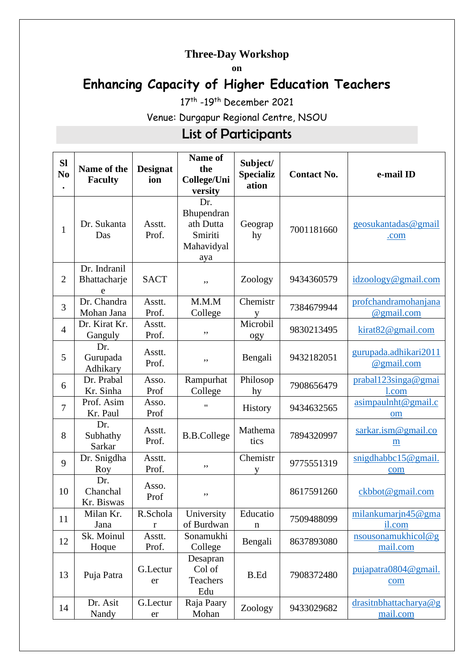# **Three-Day Workshop**

**on** 

# **Enhancing Capacity of Higher Education Teachers**

17<sup>th</sup> -19<sup>th</sup> December 2021

Venue: Durgapur Regional Centre, NSOU

# List of Participants

| <b>SI</b><br>N <sub>0</sub> | Name of the<br><b>Faculty</b>     | <b>Designat</b><br>ion | Name of<br>the<br>College/Uni<br>versity                       | Subject/<br><b>Specializ</b><br>ation | <b>Contact No.</b> | e-mail ID                           |
|-----------------------------|-----------------------------------|------------------------|----------------------------------------------------------------|---------------------------------------|--------------------|-------------------------------------|
| $\mathbf{1}$                | Dr. Sukanta<br>Das                | Asstt.<br>Prof.        | Dr.<br>Bhupendran<br>ath Dutta<br>Smiriti<br>Mahavidyal<br>aya | Geograp<br>hy                         | 7001181660         | geosukantadas@gmail<br>.com         |
| $\overline{2}$              | Dr. Indranil<br>Bhattacharje<br>e | <b>SACT</b>            | ,,                                                             | Zoology                               | 9434360579         | idzoology@gmail.com                 |
| 3                           | Dr. Chandra<br>Mohan Jana         | Asstt.<br>Prof.        | M.M.M<br>College                                               | Chemistr<br>у                         | 7384679944         | profchandramohanjana<br>@gmail.com  |
| $\overline{4}$              | Dr. Kirat Kr.<br>Ganguly          | Asstt.<br>Prof.        | ,,                                                             | Microbil<br>ogy                       | 9830213495         | kirat 82@gmail.com                  |
| 5                           | Dr.<br>Gurupada<br>Adhikary       | Asstt.<br>Prof.        | ,,                                                             | Bengali                               | 9432182051         | gurupada.adhikari2011<br>@gmail.com |
| 6                           | Dr. Prabal<br>Kr. Sinha           | Asso.<br>Prof          | Rampurhat<br>College                                           | Philosop<br>hy                        | 7908656479         | prabal123singa@gmai<br>1.com        |
| $\overline{7}$              | Prof. Asim<br>Kr. Paul            | Asso.<br>Prof          | $\pmb{\mathsf{H}}$                                             | History                               | 9434632565         | asimpauInht@gmail.c<br>om           |
| 8                           | Dr.<br>Subhathy<br>Sarkar         | Asstt.<br>Prof.        | <b>B.B.College</b>                                             | Mathema<br>tics                       | 7894320997         | sarkar.ism@gmail.co<br>m            |
| 9                           | Dr. Snigdha<br>Roy                | Asstt.<br>Prof.        | ,,                                                             | Chemistr<br>V                         | 9775551319         | snigdhabbc15@gmail.<br>com          |
| 10                          | Dr.<br>Chanchal<br>Kr. Biswas     | Asso.<br>Prof          | ,,                                                             |                                       | 8617591260         | ckbbot@gmail.com                    |
| 11                          | Milan Kr.<br>Jana                 | R.Schola<br>r          | University<br>of Burdwan                                       | Educatio<br>$\mathbf n$               | 7509488099         | milankumarjn45@gma<br>il.com        |
| 12                          | Sk. Moinul<br>Hoque               | Asstt.<br>Prof.        | Sonamukhi<br>College                                           | Bengali                               | 8637893080         | nsousonamukhicol@g<br>mail.com      |
| 13                          | Puja Patra                        | G.Lectur<br>er         | Desapran<br>Col of<br>Teachers<br>Edu                          | <b>B.Ed</b>                           | 7908372480         | pujapatra0804@gmail.<br>com         |
| 14                          | Dr. Asit<br>Nandy                 | G.Lectur<br>er         | Raja Paary<br>Mohan                                            | Zoology                               | 9433029682         | drasitnbhattacharya@g<br>mail.com   |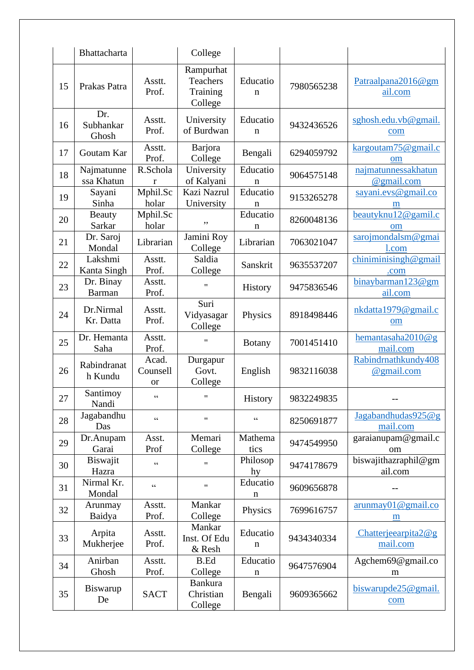|    | <b>Bhattacharta</b>        |                                                   | College                                      |                 |            |                                            |
|----|----------------------------|---------------------------------------------------|----------------------------------------------|-----------------|------------|--------------------------------------------|
| 15 | Prakas Patra               | Asstt.<br>Prof.                                   | Rampurhat<br>Teachers<br>Training<br>College | Educatio<br>n   | 7980565238 | Patraalpana2016@gm<br>ail.com              |
| 16 | Dr.<br>Subhankar<br>Ghosh  | Asstt.<br>Prof.                                   | University<br>of Burdwan                     | Educatio<br>n   | 9432436526 | sghosh.edu.vb@gmail.<br>com                |
| 17 | Goutam Kar                 | Asstt.<br>Prof.                                   | <b>Barjora</b><br>College                    | Bengali         | 6294059792 | kargoutam75@gmail.c<br>om                  |
| 18 | Najmatunne<br>ssa Khatun   | R.Schola<br>r                                     | University<br>of Kalyani                     | Educatio<br>n   | 9064575148 | najmatunnessakhatun<br>@gmail.com          |
| 19 | Sayani<br>Sinha            | Mphil.Sc<br>holar                                 | Kazi Nazrul<br>University                    | Educatio<br>n   | 9153265278 | sayani.evs@gmail.co<br>m                   |
| 20 | <b>Beauty</b><br>Sarkar    | Mphil.Sc<br>holar                                 | ,,                                           | Educatio<br>n   | 8260048136 | beautyknu12@gamil.c<br>om                  |
| 21 | Dr. Saroj<br>Mondal        | Librarian                                         | Jamini Roy<br>College                        | Librarian       | 7063021047 | sarojmondalsm@gmai<br>l.com                |
| 22 | Lakshmi<br>Kanta Singh     | Asstt.<br>Prof.                                   | Saldia<br>College                            | Sanskrit        | 9635537207 | chiniminisingh@gmail<br>.com               |
| 23 | Dr. Binay<br><b>Barman</b> | Asstt.<br>Prof.                                   | $^{\dagger}$                                 | History         | 9475836546 | binaybarman123@gm<br>ail.com               |
| 24 | Dr.Nirmal<br>Kr. Datta     | Asstt.<br>Prof.                                   | Suri<br>Vidyasagar<br>College                | Physics         | 8918498446 | nkdatta1979@gmail.c<br>om                  |
| 25 | Dr. Hemanta<br>Saha        | Asstt.<br>Prof.                                   | $^{\prime\prime}$                            | <b>Botany</b>   | 7001451410 | hemantasaha $2010@g$<br>mail.com           |
| 26 | Rabindranat<br>h Kundu     | Acad.<br>Counsell<br><b>or</b>                    | Durgapur<br>Govt.<br>College                 | English         | 9832116038 | Rabindrnathkundy408<br>@gmail.com          |
| 27 | Santimoy<br>Nandi          | $\boldsymbol{\varsigma}$ $\boldsymbol{\varsigma}$ | $\pmb{\mathsf{H}}$                           | History         | 9832249835 |                                            |
| 28 | Jagabandhu<br>Das          | $\epsilon$                                        | $\pmb{\mathsf{H}}$                           | 66              | 8250691877 | Jagabandhudas925@g<br>mail.com             |
| 29 | Dr.Anupam<br>Garai         | Asst.<br>Prof                                     | Memari<br>College                            | Mathema<br>tics | 9474549950 | garaianupam@gmail.c<br>om                  |
| 30 | Biswajit<br>Hazra          | $\zeta$ $\zeta$                                   | $\pmb{\mathsf{H}}$                           | Philosop<br>hy  | 9474178679 | biswajithazraphil@gm<br>ail.com            |
| 31 | Nirmal Kr.<br>Mondal       | $\zeta$ $\zeta$                                   | $\pmb{\mathsf{H}}$                           | Educatio<br>n   | 9609656878 |                                            |
| 32 | Arunmay<br>Baidya          | Asstt.<br>Prof.                                   | Mankar<br>College                            | Physics         | 7699616757 | $\frac{\text{arunmay01}}{m}$ gmail.co<br>m |
| 33 | Arpita<br>Mukherjee        | Asstt.<br>Prof.                                   | Mankar<br>Inst. Of Edu<br>& Resh             | Educatio<br>n   | 9434340334 | Chatterjeearpita $2@g$<br>mail.com         |
| 34 | Anirban<br>Ghosh           | Asstt.<br>Prof.                                   | <b>B.Ed</b><br>College                       | Educatio<br>n   | 9647576904 | Agchem69@gmail.co<br>m                     |
| 35 | Biswarup<br>De             | <b>SACT</b>                                       | <b>Bankura</b><br>Christian<br>College       | Bengali         | 9609365662 | biswarup $de25@$ gmail.<br>com             |